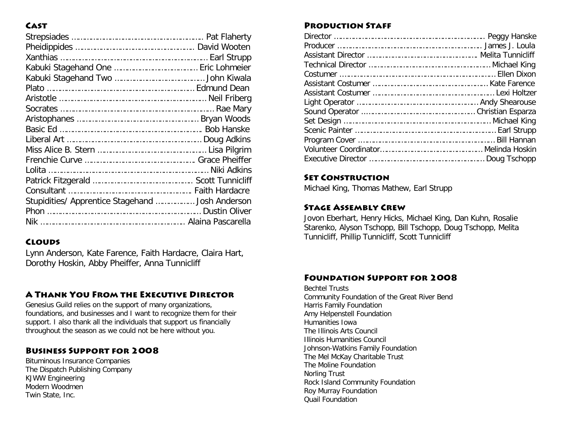# **CAST**

| Stupidities/ Apprentice Stagehand  Josh Anderson |  |
|--------------------------------------------------|--|
|                                                  |  |
|                                                  |  |

#### **CLOUDS**

Lynn Anderson, Kate Farence, Faith Hardacre, Claira Hart, Dorothy Hoskin, Abby Pheiffer, Anna Tunnicliff

## A Thank You From the Executive Director

Genesius Guild relies on the support of many organizations, foundations, and businesses and I want to recognize them for their support. I also thank all the individuals that support us financially throughout the season as we could not be here without you.

## Business Support for 2008

Bituminous Insurance Companies The Dispatch Publishing Company KJWW Engineering Modern Woodmen Twin State, Inc.

# Production Staff

## **SET CONSTRUCTION**

Michael King, Thomas Mathew, Earl Strupp

#### Stage Assembly Crew

Jovon Eberhart, Henry Hicks, Michael King, Dan Kuhn, Rosalie Starenko, Alyson Tschopp, Bill Tschopp, Doug Tschopp, Melita Tunnicliff, Phillip Tunnicliff, Scott Tunnicliff

## Foundation Support for 2008

Bechtel Trusts Community Foundation of the Great River Bend Harris Family Foundation Amy Helpenstell Foundation Humanities Iowa The Illinois Arts Council Illinois Humanities Council Johnson-Watkins Family Foundation The Mel McKay Charitable Trust The Moline Foundation Norling Trust Rock Island Community Foundation Roy Murray Foundation Quail Foundation